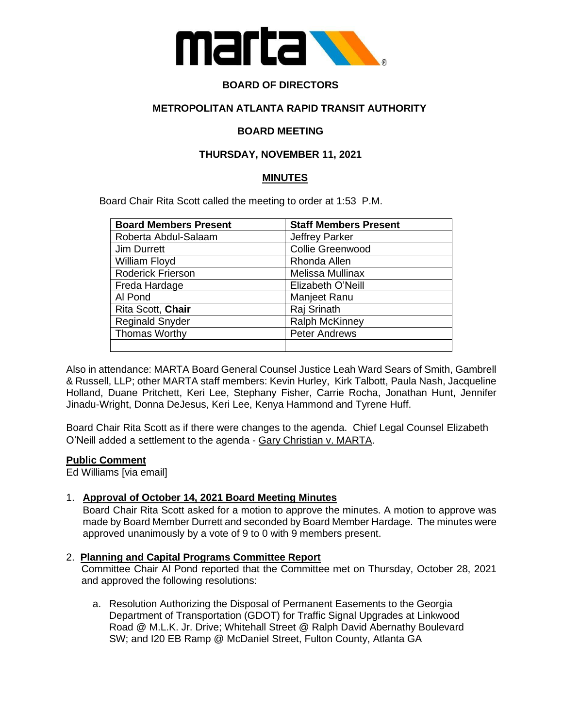

# **BOARD OF DIRECTORS**

# **METROPOLITAN ATLANTA RAPID TRANSIT AUTHORITY**

### **BOARD MEETING**

### **THURSDAY, NOVEMBER 11, 2021**

#### **MINUTES**

Board Chair Rita Scott called the meeting to order at 1:53 P.M.

| <b>Board Members Present</b> | <b>Staff Members Present</b> |
|------------------------------|------------------------------|
| Roberta Abdul-Salaam         | <b>Jeffrey Parker</b>        |
| Jim Durrett                  | Collie Greenwood             |
| William Floyd                | Rhonda Allen                 |
| Roderick Frierson            | Melissa Mullinax             |
| Freda Hardage                | Elizabeth O'Neill            |
| Al Pond                      | Manjeet Ranu                 |
| Rita Scott, Chair            | Raj Srinath                  |
| <b>Reginald Snyder</b>       | <b>Ralph McKinney</b>        |
| Thomas Worthy                | <b>Peter Andrews</b>         |
|                              |                              |

Also in attendance: MARTA Board General Counsel Justice Leah Ward Sears of Smith, Gambrell & Russell, LLP; other MARTA staff members: Kevin Hurley, Kirk Talbott, Paula Nash, Jacqueline Holland, Duane Pritchett, Keri Lee, Stephany Fisher, Carrie Rocha, Jonathan Hunt, Jennifer Jinadu-Wright, Donna DeJesus, Keri Lee, Kenya Hammond and Tyrene Huff.

Board Chair Rita Scott as if there were changes to the agenda. Chief Legal Counsel Elizabeth O'Neill added a settlement to the agenda - Gary Christian v. MARTA.

#### **Public Comment**

Ed Williams [via email]

#### 1. **Approval of October 14, 2021 Board Meeting Minutes**

Board Chair Rita Scott asked for a motion to approve the minutes. A motion to approve was made by Board Member Durrett and seconded by Board Member Hardage. The minutes were approved unanimously by a vote of 9 to 0 with 9 members present.

#### 2. **Planning and Capital Programs Committee Report**

Committee Chair Al Pond reported that the Committee met on Thursday, October 28, 2021 and approved the following resolutions:

a. Resolution Authorizing the Disposal of Permanent Easements to the Georgia Department of Transportation (GDOT) for Traffic Signal Upgrades at Linkwood Road @ M.L.K. Jr. Drive; Whitehall Street @ Ralph David Abernathy Boulevard SW; and I20 EB Ramp @ McDaniel Street, Fulton County, Atlanta GA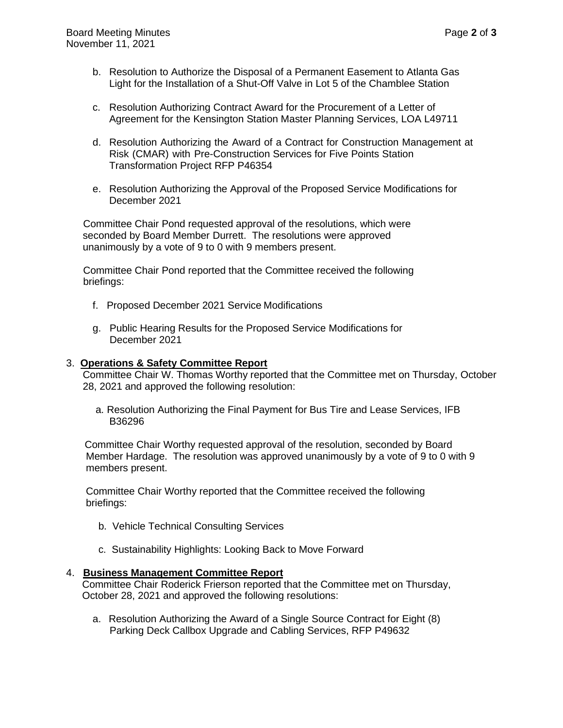- b. Resolution to Authorize the Disposal of a Permanent Easement to Atlanta Gas Light for the Installation of a Shut-Off Valve in Lot 5 of the Chamblee Station
- c. Resolution Authorizing Contract Award for the Procurement of a Letter of Agreement for the Kensington Station Master Planning Services, LOA L49711
- d. Resolution Authorizing the Award of a Contract for Construction Management at Risk (CMAR) with Pre-Construction Services for Five Points Station Transformation Project RFP P46354
- e. Resolution Authorizing the Approval of the Proposed Service Modifications for December 2021

 Committee Chair Pond requested approval of the resolutions, which were seconded by Board Member Durrett. The resolutions were approved unanimously by a vote of 9 to 0 with 9 members present.

 Committee Chair Pond reported that the Committee received the following briefings:

- f. Proposed December 2021 Service Modifications
- g. Public Hearing Results for the Proposed Service Modifications for December 2021

#### 3. **Operations & Safety Committee Report**

Committee Chair W. Thomas Worthy reported that the Committee met on Thursday, October 28, 2021 and approved the following resolution:

 a. Resolution Authorizing the Final Payment for Bus Tire and Lease Services, IFB B36296

 Committee Chair Worthy requested approval of the resolution, seconded by Board Member Hardage. The resolution was approved unanimously by a vote of 9 to 0 with 9 members present.

 Committee Chair Worthy reported that the Committee received the following briefings:

- b. Vehicle Technical Consulting Services
- c. Sustainability Highlights: Looking Back to Move Forward

#### 4. **Business Management Committee Report**

Committee Chair Roderick Frierson reported that the Committee met on Thursday, October 28, 2021 and approved the following resolutions:

a. Resolution Authorizing the Award of a Single Source Contract for Eight (8) Parking Deck Callbox Upgrade and Cabling Services, RFP P49632